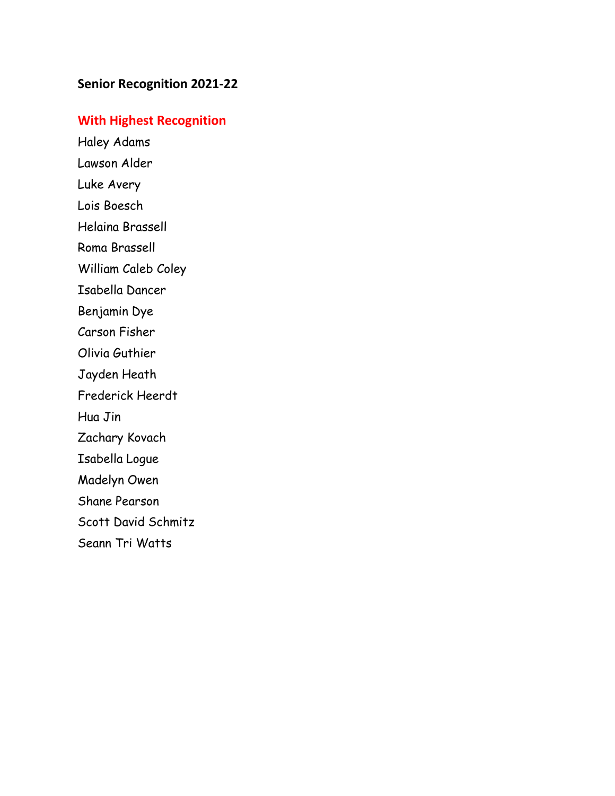# **Senior Recognition 2021-22**

## **With Highest Recognition**

Haley Adams Lawson Alder Luke Avery Lois Boesch Helaina Brassell Roma Brassell William Caleb Coley Isabella Dancer Benjamin Dye Carson Fisher Olivia Guthier Jayden Heath Frederick Heerdt Hua Jin Zachary Kovach Isabella Logue Madelyn Owen Shane Pearson Scott David Schmitz Seann Tri Watts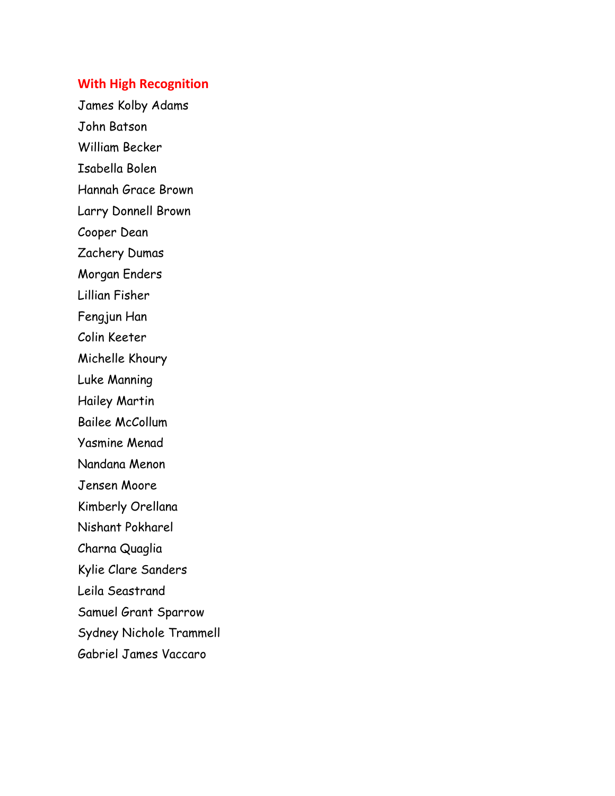### **With High Recognition**

James Kolby Adams John Batson William Becker Isabella Bolen Hannah Grace Brown Larry Donnell Brown Cooper Dean Zachery Dumas Morgan Enders Lillian Fisher Fengjun Han Colin Keeter Michelle Khoury Luke Manning Hailey Martin Bailee McCollum Yasmine Menad Nandana Menon Jensen Moore Kimberly Orellana Nishant Pokharel Charna Quaglia Kylie Clare Sanders Leila Seastrand Samuel Grant Sparrow Sydney Nichole Trammell Gabriel James Vaccaro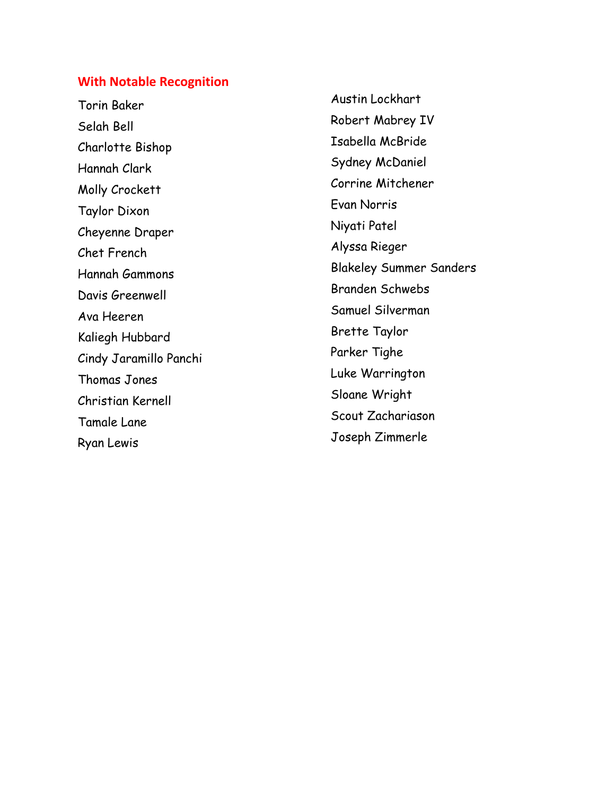### **With Notable Recognition**

Torin Baker Selah Bell Charlotte Bishop Hannah Clark Molly Crockett Taylor Dixon Cheyenne Draper Chet French Hannah Gammons Davis Greenwell Ava Heeren Kaliegh Hubbard Cindy Jaramillo Panchi Thomas Jones Christian Kernell Tamale Lane Ryan Lewis

Austin Lockhart Robert Mabrey IV Isabella McBride Sydney McDaniel Corrine Mitchener Evan Norris Niyati Patel Alyssa Rieger Blakeley Summer Sanders Branden Schwebs Samuel Silverman Brette Taylor Parker Tighe Luke Warrington Sloane Wright Scout Zachariason Joseph Zimmerle